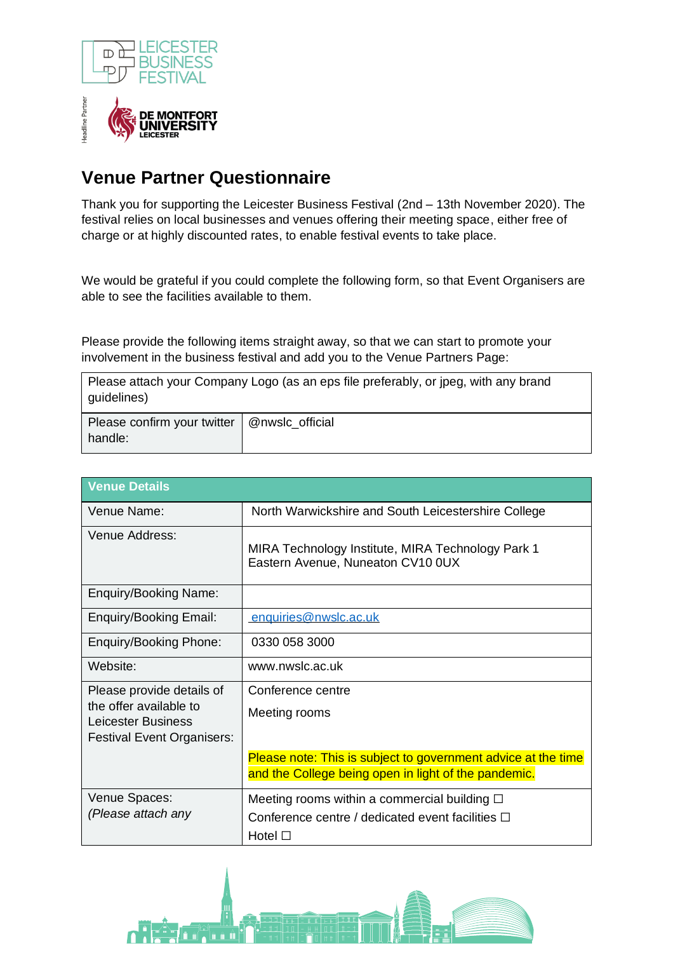



## **Venue Partner Questionnaire**

Thank you for supporting the Leicester Business Festival (2nd – 13th November 2020). The festival relies on local businesses and venues offering their meeting space, either free of charge or at highly discounted rates, to enable festival events to take place.

We would be grateful if you could complete the following form, so that Event Organisers are able to see the facilities available to them.

Please provide the following items straight away, so that we can start to promote your involvement in the business festival and add you to the Venue Partners Page:

Please attach your Company Logo (as an eps file preferably, or jpeg, with any brand guidelines)

| Please confirm your twitter   @nwslc_official |  |
|-----------------------------------------------|--|
| handle:                                       |  |

| <b>Venue Details</b>                                                      |                                                                                        |  |
|---------------------------------------------------------------------------|----------------------------------------------------------------------------------------|--|
| Venue Name:                                                               | North Warwickshire and South Leicestershire College                                    |  |
| Venue Address:                                                            | MIRA Technology Institute, MIRA Technology Park 1<br>Eastern Avenue, Nuneaton CV10 0UX |  |
| <b>Enquiry/Booking Name:</b>                                              |                                                                                        |  |
| <b>Enquiry/Booking Email:</b>                                             | enquiries@nwslc.ac.uk                                                                  |  |
| <b>Enquiry/Booking Phone:</b>                                             | 0330 058 3000                                                                          |  |
| Website:                                                                  | www.nwslc.ac.uk                                                                        |  |
| Please provide details of<br>the offer available to<br>Leicester Business | Conference centre                                                                      |  |
|                                                                           | Meeting rooms                                                                          |  |
| <b>Festival Event Organisers:</b>                                         |                                                                                        |  |
|                                                                           | Please note: This is subject to government advice at the time                          |  |
|                                                                           | and the College being open in light of the pandemic.                                   |  |
| Venue Spaces:                                                             | Meeting rooms within a commercial building $\Box$                                      |  |
| (Please attach any                                                        | Conference centre / dedicated event facilities $\Box$                                  |  |
|                                                                           | Hotel $\Box$                                                                           |  |

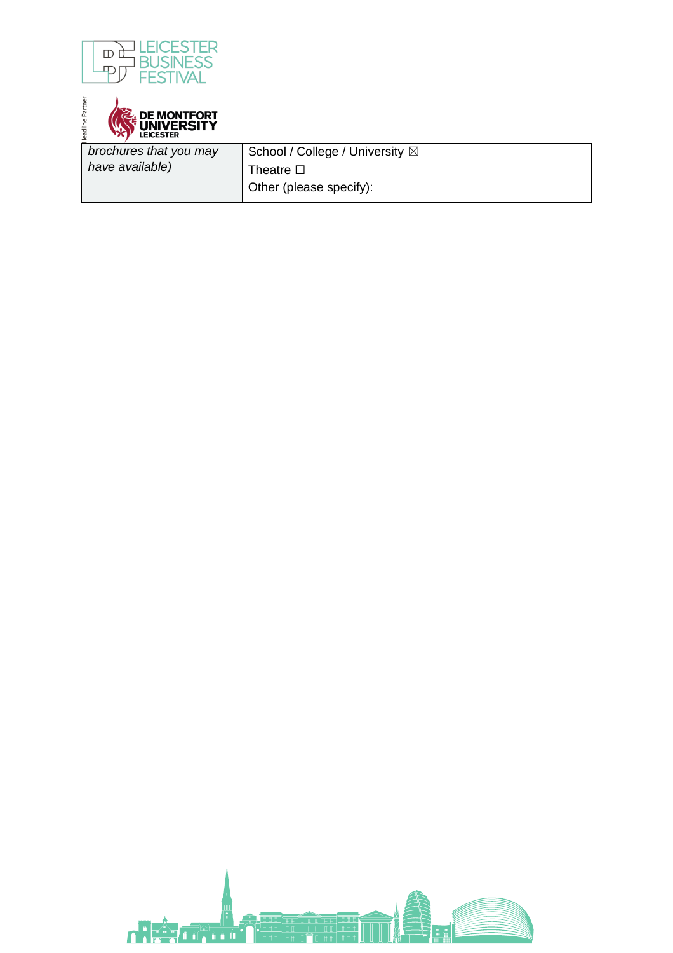

adline Partner **DE MONTFORT<br>UNIVERSITY<br>LEICESTER** 

*brochures that you may have available)*

School / College / University  $\boxtimes$ Theatre **□** Other (please specify):

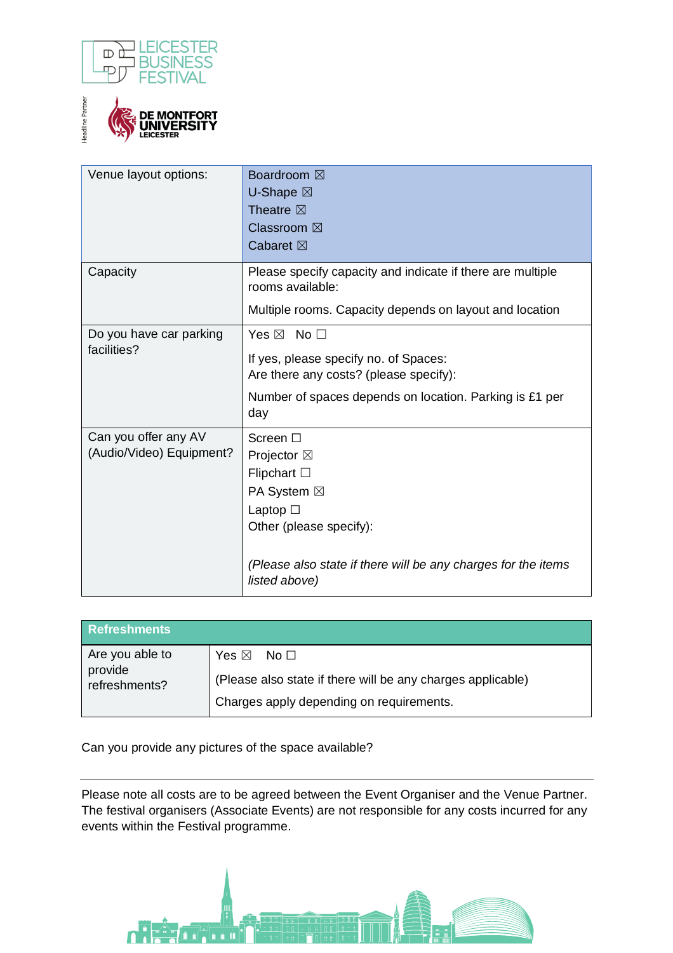



| Venue layout options:                            | <b>Boardroom</b> ⊠<br><b>U-Shape</b> ⊠<br>Theatre $\boxtimes$<br>Classroom ⊠<br>Cabaret $\boxtimes$                                                                                                    |
|--------------------------------------------------|--------------------------------------------------------------------------------------------------------------------------------------------------------------------------------------------------------|
| Capacity                                         | Please specify capacity and indicate if there are multiple<br>rooms available:<br>Multiple rooms. Capacity depends on layout and location                                                              |
| Do you have car parking<br>facilities?           | Yes $\boxtimes$ No $\square$<br>If yes, please specify no. of Spaces:<br>Are there any costs? (please specify):<br>Number of spaces depends on location. Parking is £1 per<br>day                      |
| Can you offer any AV<br>(Audio/Video) Equipment? | Screen $\square$<br>Projector ⊠<br>Flipchart $\square$<br>PA System ⊠<br>Laptop $\square$<br>Other (please specify):<br>(Please also state if there will be any charges for the items<br>listed above) |

| <b>Refreshments</b>                         |                                                             |
|---------------------------------------------|-------------------------------------------------------------|
| Are you able to<br>provide<br>refreshments? | Yes $\boxtimes$<br>$\mathsf{No}\ \Box$                      |
|                                             | (Please also state if there will be any charges applicable) |
|                                             | Charges apply depending on requirements.                    |

Can you provide any pictures of the space available?

Please note all costs are to be agreed between the Event Organiser and the Venue Partner. The festival organisers (Associate Events) are not responsible for any costs incurred for any events within the Festival programme.